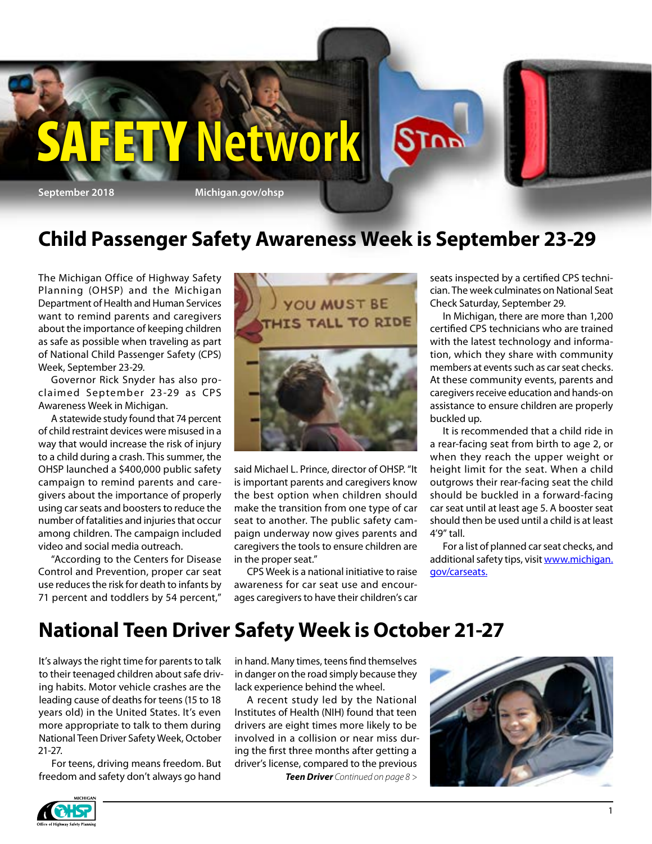

## **Child Passenger Safety Awareness Week is September 23-29**

The Michigan Office of Highway Safety Planning (OHSP) and the Michigan Department of Health and Human Services want to remind parents and caregivers about the importance of keeping children as safe as possible when traveling as part of National Child Passenger Safety (CPS) Week, September 23-29.

Governor Rick Snyder has also proclaimed September 23-29 as CPS Awareness Week in Michigan.

A statewide study found that 74 percent of child restraint devices were misused in a way that would increase the risk of injury to a child during a crash. This summer, the OHSP launched a \$400,000 public safety campaign to remind parents and caregivers about the importance of properly using car seats and boosters to reduce the number of fatalities and injuries that occur among children. The campaign included [video](http://coa.courts.mi.gov/court/judges/district/d4judges.htm#AK) and social media outreach.

"According to the Centers for Disease Control and Prevention, proper car seat use reduces the risk for death to infants by 71 percent and toddlers by 54 percent,"



said Michael L. Prince, director of OHSP. "It is important parents and caregivers know the best option when children should make the transition from one type of car seat to another. The public safety campaign underway now gives parents and caregivers the tools to ensure children are in the proper seat."

CPS Week is a national initiative to raise awareness for car seat use and encourages caregivers to have their children's car seats inspected by a certified CPS technician. The week culminates on National Seat Check Saturday, September 29.

In Michigan, there are more than 1,200 certified CPS technicians who are trained with the latest technology and information, which they share with community members at events such as car seat checks. At these community events, parents and caregivers receive education and hands-on assistance to ensure children are properly buckled up.

It is recommended that a child ride in a rear-facing seat from birth to age 2, or when they reach the upper weight or height limit for the seat. When a child outgrows their rear-facing seat the child should be buckled in a forward-facing car seat until at least age 5. A booster seat should then be used until a child is at least 4'9" tall.

For a list of planned car seat checks, and additional safety tips, visit [www.michigan.](http://www.michigan.gov/carseats) [gov/carseats.](http://www.michigan.gov/carseats)

## **National Teen Driver Safety Week is October 21-27**

It's always the right time for parents to talk to their teenaged children about safe driving habits. Motor vehicle crashes are the leading cause of deaths for teens (15 to 18 years old) in the United States. It's even more appropriate to talk to them during National Teen Driver Safety Week, October 21-27.

For teens, driving means freedom. But freedom and safety don't always go hand

in hand. Many times, teens find themselves in danger on the road simply because they lack experience behind the wheel.

A recent study led by the National Institutes of Health (NIH) found that teen drivers are eight times more likely to be involved in a collision or near miss during the first three months after getting a driver's license, compared to the previous

*Teen Driver Continued on page 8 >*



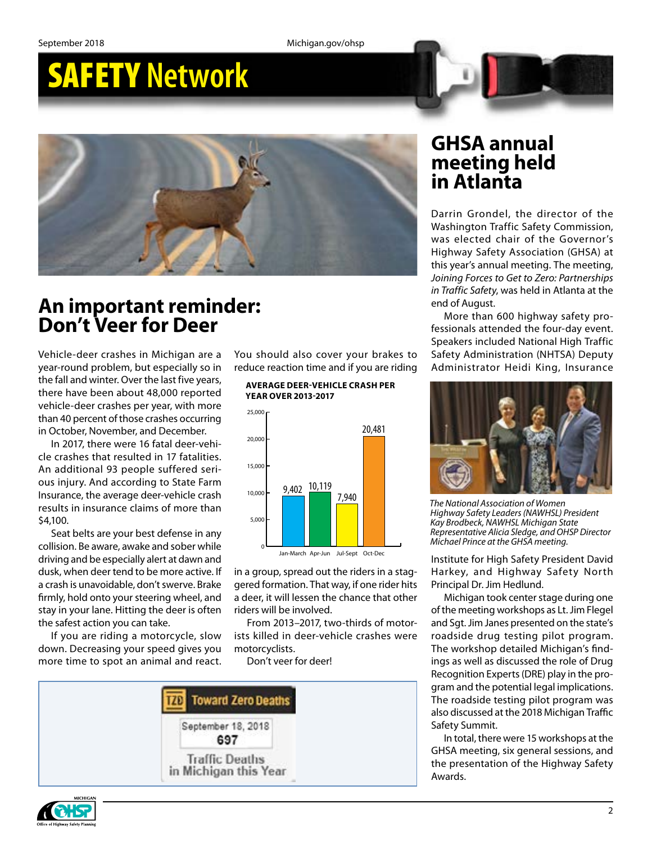## SAFETY **Network**



## **An important reminder: Don't Veer for Deer**

Vehicle-deer crashes in Michigan are a year-round problem, but especially so in the fall and winter. Over the last five years, there have been about 48,000 reported vehicle-deer crashes per year, with more than 40 percent of those crashes occurring in October, November, and December.

In 2017, there were 16 fatal deer-vehicle crashes that resulted in 17 fatalities. An additional 93 people suffered serious injury. And according to State Farm Insurance, the average deer-vehicle crash results in insurance claims of more than \$4,100.

Seat belts are your best defense in any collision. Be aware, awake and sober while driving and be especially alert at dawn and dusk, when deer tend to be more active. If a crash is unavoidable, don't swerve. Brake firmly, hold onto your steering wheel, and stay in your lane. Hitting the deer is often the safest action you can take.

If you are riding a motorcycle, slow down. Decreasing your speed gives you more time to spot an animal and react.

You should also cover your brakes to reduce reaction time and if you are riding

**AVERAGE DEER-VEHICLE CRASH PER YEAR OVER 2013-2017**



in a group, spread out the riders in a staggered formation. That way, if one rider hits a deer, it will lessen the chance that other riders will be involved.

From 2013–2017, two-thirds of motorists killed in deer-vehicle crashes were motorcyclists.

Don't veer for deer!



### **GHSA annual meeting held in Atlanta**

Darrin Grondel, the director of the Washington Traffic Safety Commission, was elected chair of the Governor's Highway Safety Association (GHSA) at this year's annual meeting. The meeting, *Joining Forces to Get to Zero: Partnerships in Traffic Safety*, was held in Atlanta at the end of August.

More than 600 highway safety professionals attended the four-day event. Speakers included National High Traffic Safety Administration (NHTSA) Deputy Administrator Heidi King, Insurance



*The National Association of Women Highway Safety Leaders (NAWHSL) President Kay Brodbeck, NAWHSL Michigan State Representative Alicia Sledge, and OHSP Director Michael Prince at the GHSA meeting.*

Institute for High Safety President David Harkey, and Highway Safety North Principal Dr. Jim Hedlund.

Michigan took center stage during one of the meeting workshops as Lt. Jim Flegel and Sgt. Jim Janes presented on the state's roadside drug testing pilot program. The workshop detailed Michigan's findings as well as discussed the role of Drug Recognition Experts (DRE) play in the program and the potential legal implications. The roadside testing pilot program was also discussed at the 2018 Michigan Traffic Safety Summit.

In total, there were 15 workshops at the GHSA meeting, six general sessions, and the presentation of the Highway Safety Awards.

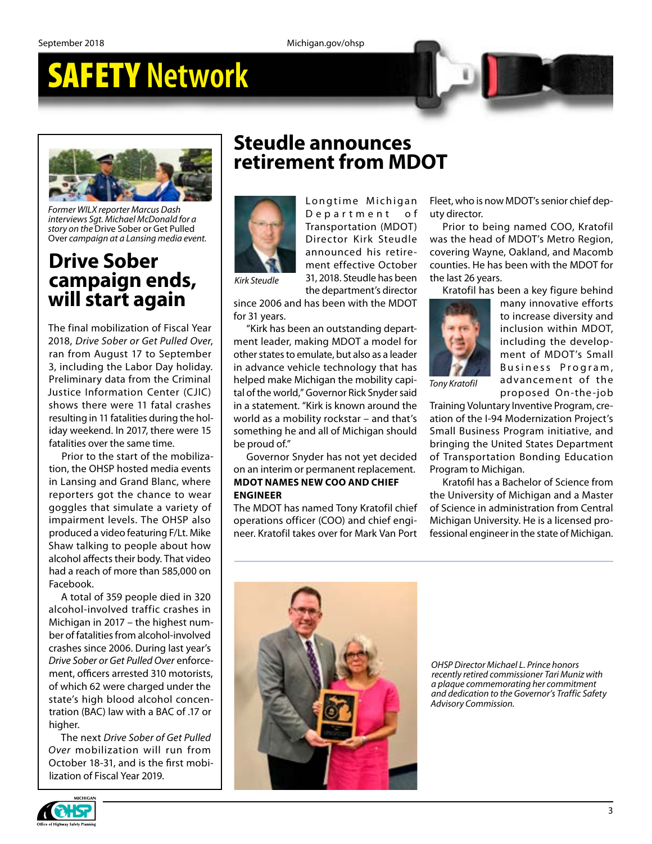## SAFETY **Network**



*Former WILX reporter Marcus Dash interviews Sgt. Michael McDonald for a story on the* Drive Sober or Get Pulled Over *campaign at a Lansing media event.*

## **Drive Sober campaign ends, will start again**

The final mobilization of Fiscal Year 2018, *Drive Sober or Get Pulled Over*, ran from August 17 to September 3, including the Labor Day holiday. Preliminary data from the Criminal Justice Information Center (CJIC) shows there were 11 fatal crashes resulting in 11 fatalities during the holiday weekend. In 2017, there were 15 fatalities over the same time.

Prior to the start of the mobilization, the OHSP hosted media events in Lansing and Grand Blanc, where reporters got the chance to wear goggles that simulate a variety of impairment levels. The OHSP also produced a video featuring F/Lt. Mike Shaw talking to people about how alcohol affects their body. That video had a reach of more than 585,000 on Facebook.

A total of 359 people died in 320 alcohol-involved traffic crashes in Michigan in 2017 – the highest number of fatalities from alcohol-involved crashes since 2006. During last year's *Drive Sober or Get Pulled Over* enforcement, officers arrested 310 motorists, of which 62 were charged under the state's high blood alcohol concentration (BAC) law with a BAC of .17 or higher.

The next *Drive Sober of Get Pulled Over* mobilization will run from October 18-31, and is the first mobilization of Fiscal Year 2019.

### **Steudle announces retirement from MDOT**



D e partment of Transportation (MDOT) Director Kirk Steudle announced his retirement effective October 31, 2018. Steudle has been

Longtime Michigan

the department's director

since 2006 and has been with the MDOT for 31 years.

"Kirk has been an outstanding department leader, making MDOT a model for other states to emulate, but also as a leader in advance vehicle technology that has helped make Michigan the mobility capital of the world," Governor Rick Snyder said in a statement. "Kirk is known around the world as a mobility rockstar – and that's something he and all of Michigan should be proud of."

Governor Snyder has not yet decided on an interim or permanent replacement. **MDOT NAMES NEW COO AND CHIEF ENGINEER**

The MDOT has named Tony Kratofil chief operations officer (COO) and chief engineer. Kratofil takes over for Mark Van Port Fleet, who is now MDOT's senior chief deputy director.

Prior to being named COO, Kratofil was the head of MDOT's Metro Region, covering Wayne, Oakland, and Macomb counties. He has been with the MDOT for the last 26 years.

Kratofil has been a key figure behind



many innovative efforts to increase diversity and inclusion within MDOT, including the development of MDOT's Small Business Program, advancement of the proposed On-the-job

*Tony Kratofil*

Training Voluntary Inventive Program, creation of the I-94 Modernization Project's Small Business Program initiative, and bringing the United States Department of Transportation Bonding Education Program to Michigan.

Kratofil has a Bachelor of Science from the University of Michigan and a Master of Science in administration from Central Michigan University. He is a licensed professional engineer in the state of Michigan.



*OHSP Director Michael L. Prince honors recently retired commissioner Tari Muniz with a plaque commemorating her commitment and dedication to the Governor's Traffic Safety Advisory Commission.*

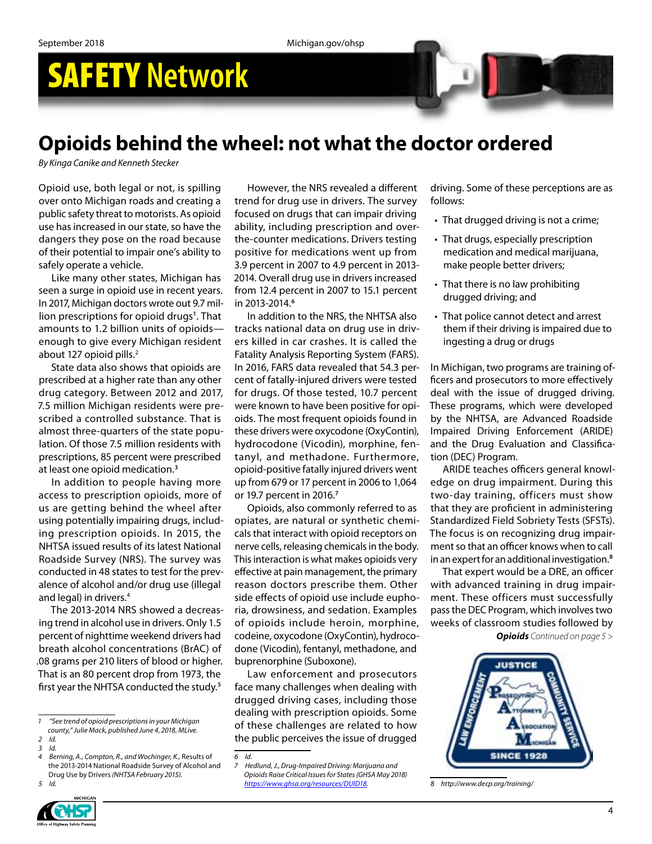# SAFETY **Network**

## **Opioids behind the wheel: not what the doctor ordered**

*By Kinga Canike and Kenneth Stecker*

Opioid use, both legal or not, is spilling over onto Michigan roads and creating a public safety threat to motorists. As opioid use has increased in our state, so have the dangers they pose on the road because of their potential to impair one's ability to safely operate a vehicle.

Like many other states, Michigan has seen a surge in opioid use in recent years. In 2017, Michigan doctors wrote out 9.7 million prescriptions for opioid drugs**<sup>1</sup>** . That amounts to 1.2 billion units of opioids enough to give every Michigan resident about 127 opioid pills.<sup>2</sup>

State data also shows that opioids are prescribed at a higher rate than any other drug category. Between 2012 and 2017, 7.5 million Michigan residents were prescribed a controlled substance. That is almost three-quarters of the state population. Of those 7.5 million residents with prescriptions, 85 percent were prescribed at least one opioid medication.**<sup>3</sup>**

In addition to people having more access to prescription opioids, more of us are getting behind the wheel after using potentially impairing drugs, including prescription opioids. In 2015, the NHTSA issued results of its latest National Roadside Survey (NRS). The survey was conducted in 48 states to test for the prevalence of alcohol and/or drug use (illegal and legal) in drivers.<sup>4</sup>

The 2013-2014 NRS showed a decreasing trend in alcohol use in drivers. Only 1.5 percent of nighttime weekend drivers had breath alcohol concentrations (BrAC) of .08 grams per 210 liters of blood or higher. That is an 80 percent drop from 1973, the first year the NHTSA conducted the study.**<sup>5</sup>**

*5 Id.*



However, the NRS revealed a different trend for drug use in drivers. The survey focused on drugs that can impair driving ability, including prescription and overthe-counter medications. Drivers testing positive for medications went up from 3.9 percent in 2007 to 4.9 percent in 2013- 2014. Overall drug use in drivers increased from 12.4 percent in 2007 to 15.1 percent in 2013-2014.**<sup>6</sup>**

In addition to the NRS, the NHTSA also tracks national data on drug use in drivers killed in car crashes. It is called the Fatality Analysis Reporting System (FARS). In 2016, FARS data revealed that 54.3 percent of fatally-injured drivers were tested for drugs. Of those tested, 10.7 percent were known to have been positive for opioids. The most frequent opioids found in these drivers were oxycodone (OxyContin), hydrocodone (Vicodin), morphine, fentanyl, and methadone. Furthermore, opioid-positive fatally injured drivers went up from 679 or 17 percent in 2006 to 1,064 or 19.7 percent in 2016.**<sup>7</sup>**

Opioids, also commonly referred to as opiates, are natural or synthetic chemicals that interact with opioid receptors on nerve cells, releasing chemicals in the body. This interaction is what makes opioids very effective at pain management, the primary reason doctors prescribe them. Other side effects of opioid use include euphoria, drowsiness, and sedation. Examples of opioids include heroin, morphine, codeine, oxycodone (OxyContin), hydrocodone (Vicodin), fentanyl, methadone, and buprenorphine (Suboxone).

Law enforcement and prosecutors face many challenges when dealing with drugged driving cases, including those dealing with prescription opioids. Some of these challenges are related to how the public perceives the issue of drugged

*6 Id.*

driving. Some of these perceptions are as follows:

- That drugged driving is not a crime;
- That drugs, especially prescription medication and medical marijuana, make people better drivers;
- That there is no law prohibiting drugged driving; and
- That police cannot detect and arrest them if their driving is impaired due to ingesting a drug or drugs

In Michigan, two programs are training officers and prosecutors to more effectively deal with the issue of drugged driving. These programs, which were developed by the NHTSA, are Advanced Roadside Impaired Driving Enforcement (ARIDE) and the Drug Evaluation and Classification (DEC) Program.

ARIDE teaches officers general knowledge on drug impairment. During this two-day training, officers must show that they are proficient in administering Standardized Field Sobriety Tests (SFSTs). The focus is on recognizing drug impairment so that an officer knows when to call in an expert for an additional investigation.**<sup>8</sup>**

That expert would be a DRE, an officer with advanced training in drug impairment. These officers must successfully pass the DEC Program, which involves two weeks of classroom studies followed by

*Opioids Continued on page 5 >*



*8 http://www.decp.org/training/*

*<sup>1 &</sup>quot;See trend of opioid prescriptions in your Michigan county," Julie Mack, published June 4, 2018, MLive.*

*<sup>2</sup> Id.*

*<sup>3</sup> Id.*

*<sup>4</sup> Berning, A., Compton, R., and Wochinger, K.,* Results of the 2013-2014 National Roadside Survey of Alcohol and Drug Use by Drivers *(NHTSA February 2015).*

*<sup>7</sup> Hedlund, J., Drug-Impaired Driving: Marijuana and Opioids Raise Critical Issues for States (GHSA May 2018) [https://www.ghsa.org/resources/DUID18.](https://www.ghsa.org/resources/DUID18)*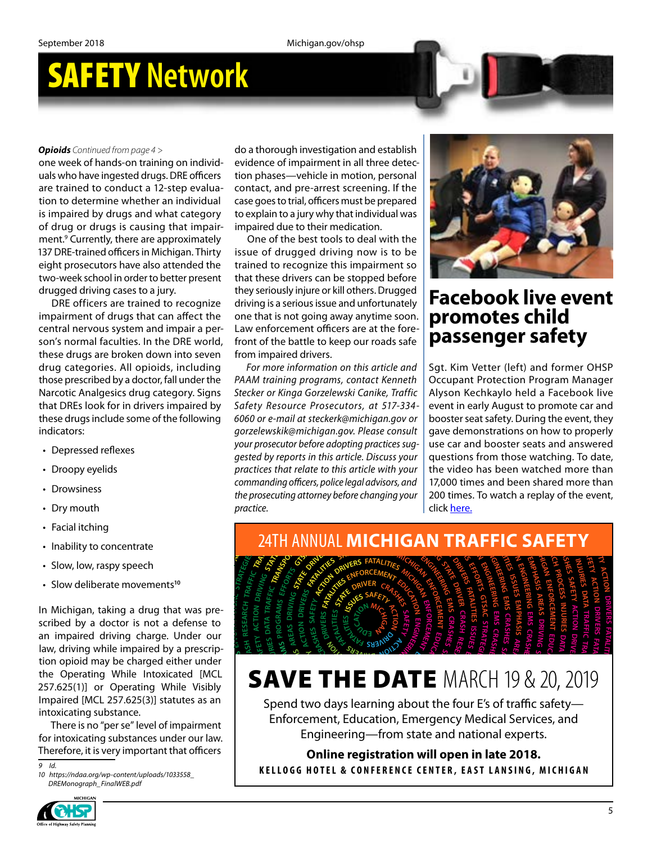## SAFETY **Network**

#### *Opioids Continued from page 4 >*

one week of hands-on training on individuals who have ingested drugs. DRE officers are trained to conduct a 12-step evaluation to determine whether an individual is impaired by drugs and what category of drug or drugs is causing that impairment.9 Currently, there are approximately 137 DRE-trained officers in Michigan. Thirty eight prosecutors have also attended the two-week school in order to better present drugged driving cases to a jury.

DRE officers are trained to recognize impairment of drugs that can affect the central nervous system and impair a person's normal faculties. In the DRE world, these drugs are broken down into seven drug categories. All opioids, including those prescribed by a doctor, fall under the Narcotic Analgesics drug category. Signs that DREs look for in drivers impaired by these drugs include some of the following indicators:

- Depressed reflexes
- Droopy eyelids
- Drowsiness
- Dry mouth
- Facial itching
- Inability to concentrate **ND STRATEGIES**
- Slow, low, raspy speech
- **•** Slow, low, raspy speech<br>• Slow deliberate movements<sup>10</sup>

In Michigan, taking a drug that was prescribed by a doctor is not a defense to an impaired driving charge. Under our law, driving while impaired by a prescription opioid may be charged either under the Operating While Intoxicated [MCL 257.625(1)] or Operating While Visibly Impaired [MCL 257.625(3)] statutes as an intoxicating substance. intoxicating substance. EXECTED 257.025(5) Statutes as an extended interacting substance. **GTSAC STRATEGIES G PROCESS T**<br>**T**<br>**P**<br>**T**<br>**P**<br>**P**<br>CL **GTSAC** s pre<br>se to<br>escrip<br>IMCL<br>(isibly was<br>fense<br>der<br>presc<br>er un<br>d [M no<br>at was<br>defens<br>a pre:<br>ated<br>ated<br>vile Vi that was<br>a defens<br>e. Under<br>by a pres<br>either u<br>icated [<br>While Vi<br>tatutes a<br>f impairr **P**<br>**C** Unity S(3)]<br>B<br>C<br>C '<br>nents<sup>10</sup><br>g that<br>ot a de<br>rge. U<sub>l</sub><br>ed eith<br>ed eith eme<br>drug<br>not<br>harg<br>ired<br>into<br>ing<br>i(3)] ntrate<br>beech<br>oven<br>a druis no<br>is no<br>paire<br>pharg<br>charg<br>le In

**for intoxicating substances under our law.**<br> **Reference, it is very important that officers**<br> **A** *I O https://ndga.org/wp-content/uploads/1033558* Therefore, it is very important that officers **C**<br> **C**<br> **C**<br> **C**<br> **C**<br> **C C**<br> **Example <b>D**<br> **Example 2**<br> **Example 2 OR AD STRATEG EI S MANAGEMENT** that officers **R**<br>**R**<br>**R**<br>**S**<br>**S**<br>COSS<br>**B**<br>**S**<br>COSS<br>**B**<br>**E** 

*9 Id. 10 https://ndaa.org/wp-content/uploads/1033558\_ DREMonograph\_FinalWEB.pdf*

do a thorough investigation and establish evidence of impairment in all three detection phases—vehicle in motion, personal contact, and pre-arrest screening. If the case goes to trial, officers must be prepared to explain to a jury why that individual was impaired due to their medication.

One of the best tools to deal with the issue of drugged driving now is to be trained to recognize this impairment so that these drivers can be stopped before they seriously injure or kill others. Drugged driving is a serious issue and unfortunately one that is not going away anytime soon. Law enforcement officers are at the forefront of the battle to keep our roads safe from impaired drivers.

*For more information on this article and PAAM training programs, contact Kenneth Stecker or Kinga Gorzelewski Canike, Traffic Safety Resource Prosecutors, at 517-334- 6060 or e-mail at steckerk@michigan.gov or gorzelewskik@michigan.gov. Please consult your prosecutor before adopting practices suggested by reports in this article. Discuss your practices that relate to this article with your commanding officers, police legal advisors, and the prosecuting attorney before changing your practice.* manding officers, police legal advisors, and 17,000 times and<br>prosecuting attorney before changing your 200 times. To<br>tice.<br>24TH ANNUAL MICHIGAN TRAF practices that relate to this article with your<br>commanding officers, police legal advisors, and<br>the prosecuting attorney before changing your<br>practice.<br>24TH ANNUAL MICHIGAN TRAFFIC S ested by reports in this drive.<br>ractices that relate to this artic<br>ommanding officers, police legal<br>ne prosecuting attorney before cr<br>actice. **MICHIGAN** bested by reports in this article. Discuss your<br>lested by reports in this article. Discuss your<br>commanding officers, police legal advisors, and<br>the prosecuting attorney before changing your<br>he prosecuting attorney before c your prosecutor before adopting practices sug-<br>gested by reports in this article. Discuss your<br>practices that relate to this article with your<br>commanding officers, police legal advisors, and<br>the prosecuting attorney before gorzelewskik@michigan.gov. Please consult<br>your prosecutor before adopting practices sug-<br>gested by reports in this article. Discuss your<br>practices that relate to this article with your<br>commanding officers, police legal adv lowing 6060 or e-mail at steckerk@michigan.gov or<br>gorzelewskik@michigan.gov. Please consult<br>your prosecutor before adopting practices sug-<br>gested by reports in this article. Discuss your<br>practices that relate to this artic paired by Safety Resource Prosecutors, at 517-334-<br>
jevent in early August to produce the solution of the solution of the solution of the solution of the solution<br>
gorzelewskik@michigan.gov. Please consult and booster seat egory. Signs Stecker or Kinga Gorzelewski Canike, Traffic Alyson Kechkaylo held<br>
impaired by Safety Resource Prosecutors, at 517-334-<br>
he following 6060 or e-mail at steckerk@michigan.gov or<br>
gorzelewskik@michigan.gov. Ple r, rall under the PAAM training programs, contategory. Signs Stecker or Kinga Gorzelewski Constants Constant C<br>Simpaired by Safety Resource Prosecutors,<br>f the following 6060 or e-mail at steckerk@mic.<br>gorzelewskik@michigan



### **Facebook live event promotes child passenger safety**

Fig. 200 times and 17,000 times and 17,000 times and 17,000 times. To we e with your<br>
e with your<br>
dy the video has b<br>
dy the video has b<br>
dy the video has b<br>
dy 17,000 times. To wa<br>
click <u>here.</u> **S**<br>**S**<br>**S**<br>**S**<br>**E**<br>**E**<br>**S CRASH DEPARTMENT RESEARCH EMS** 200 times. To watch a replay of the event, **ENGINEERING** the video has been watched more than The process of the discussion of the video and the discussion of the vent in early August to promotion.<br>
Figure 234-<br>
Booster seat safety. During the evaluation of the safety of the consult discuss your questions from thos Sgt. Kim Vetter (left) and former OHSP Occupant Protection Program Manager Alyson Kechkaylo held a Facebook live event in early August to promote car and booster seat safety. During the event, they gave demonstrations on how to properly use car and booster seats and answered questions from those watching. To date, 17,000 times and been shared more than click [here.](https://www.facebook.com/MichiganStatePolice/videos/10156849882107216/)

Example 2008 1999 **PROCESS CRASHES CRASHES**



#### **SAVE THE DATE** MARCH 19 & 20, 2019 **<sup>M</sup><sup>E</sup> <sup>C</sup> <sup>S</sup> <sup>E</sup>DU<sup>C</sup> <sup>T</sup><sup>A</sup> O<sup>I</sup> E N <sup>I</sup> <sup>R</sup>EEN<sup>I</sup> <sup>G</sup><sup>N</sup> GN M<sup>E</sup> EDUCAT OI N ENG NI <sup>E</sup><sup>E</sup> NI <sup>R</sup> <sup>R</sup><sup>C</sup> <sup>S</sup> <sup>M</sup><sup>E</sup> <sup>G</sup> <sup>S</sup><sup>A</sup> <sup>H</sup>E<sup>S</sup> <sup>S</sup>AFET<sup>Y</sup> <sup>S</sup>AFET<sup>Y</sup> <sup>A</sup>C<sup>T</sup> <sup>O</sup><sup>I</sup> <sup>N</sup> <sup>R</sup><sup>D</sup> <sup>V</sup><sup>I</sup> SR<sup>E</sup> <sup>U</sup><sup>S</sup> <sup>E</sup><sup>S</sup>** *R* **E** THE DATE If **<sup>E</sup>MPHA<sup>S</sup> <sup>S</sup><sup>I</sup> <sup>A</sup>REA<sup>S</sup> <sup>D</sup><sup>R</sup> <sup>V</sup><sup>I</sup> <sup>N</sup><sup>I</sup> <sup>G</sup> <sup>A</sup>T<sup>S</sup> D <sup>E</sup><sup>T</sup> SAVE THE DATE** MARCH<br>Spend two days learning about the four E's **ACT OI N**  $\frac{19}{5}$ **EFFORTS DR VI ER**  $\overline{\phantom{a}}$  $\angle$ **TRAFF CI FATAL TI RANSPORTAT**  $\epsilon$  $\sum_{i=1}^{n}$  $\overline{\phantom{1}}$

Spend two days learning about the four E's of traffic safety— **<sup>T</sup><sup>I</sup> <sup>L</sup>ATAF <sup>S</sup>E<sup>I</sup>** Enforcement, Education, Emergency Medical Services, and **RC <sup>R</sup>EVI <sup>R</sup> <sup>H</sup>S<sup>A</sup> <sup>A</sup>T<sup>S</sup> <sup>E</sup><sup>T</sup> <sup>D</sup><sup>I</sup>** Engineering—from state and national experts.<br>**Online registration will open in late 2018.** Spend two days learning about the four E's of traff<br>Enforcement, Education, Emergency Medical Ser<br>Engineering—from state and national exp **X** two days learning about the four E<br>rcement, Education, Emergency Me **<sup>S</sup>AH<sup>P</sup> <sup>M</sup><sup>E</sup> <sup>S</sup>EUSS<sup>I</sup> E** *R*<sub>A</sub><br>**A**<br>*R*<sub>A</sub><br>*R*<sub>A</sub><br>*R*<sub>A</sub><br>*R*<sub>A</sub> Spend two days learning about the four E's of traffic safety—<br>Enforcement, Education, Emergency Medical Services, and<br>Engineering—from state and national experts.<br>**Online registration will open in late 2018.** FIRENT TO & 20, 20<br>
jour E's of traffic safety-<br>
y Medical Services, and<br>
national experts.<br> **en in late 2018.**<br>
FAST LANSING, MICHIG.

Online registration will open in late 2018.<br>16 HOTEL & CONFERENCE CENTER, EAST LANSING, KELLOGG HOTEL & CONFERENCE CENTER, EAST LANSING, MICHIGAN **B B B B B B B B B E** I, Emergency Medical Service<br>m state and national experts.<br>tion will open in late 2018.<br>ENCE CENTER, EAST LANSING, M **Onlin**<br>KELLOGG HOTEL **S EFFORTS <sup>E</sup><sup>I</sup> <sup>R</sup> <sup>D</sup> <sup>S</sup> <sup>T</sup><sup>A</sup> <sup>A</sup> <sup>R</sup><sup>T</sup> <sup>F</sup><sup>A</sup> <sup>I</sup> <sup>F</sup> <sup>C</sup> <sup>R</sup><sup>T</sup> <sup>A</sup>N<sup>S</sup> <sup>O</sup><sup>P</sup> PROGRAMS EFFORTS GTSAC ST AR <sup>D</sup><sup>R</sup> <sup>V</sup><sup>I</sup> <sup>N</sup><sup>I</sup> <sup>G</sup> <sup>P</sup>ROCES<sup>S</sup> <sup>T</sup>RAF<sup>F</sup> C<sup>I</sup> DR VI NI G STATE DR VI ER CRA HS**

**<sup>R</sup><sup>D</sup> <sup>V</sup><sup>I</sup> <sup>R</sup><sup>E</sup> <sup>A</sup><sup>F</sup> <sup>S</sup> EI <sup>T</sup><sup>I</sup> <sup>L</sup>A<sup>T</sup>**

**<sup>T</sup><sup>R</sup> <sup>S</sup> <sup>T</sup><sup>G</sup> <sup>A</sup><sup>S</sup> <sup>V</sup> <sup>C</sup> <sup>C</sup><sup>I</sup> <sup>H</sup><sup>E</sup> AT<sup>S</sup> <sup>E</sup><sup>L</sup>**

**<sup>R</sup><sup>D</sup> <sup>V</sup><sup>I</sup> <sup>R</sup><sup>E</sup> <sup>R</sup><sup>C</sup> HS<sup>A</sup>**

**<sup>T</sup>ROPSNART <sup>C</sup><sup>I</sup> <sup>F</sup><sup>F</sup>**

**<sup>D</sup> <sup>S</sup>AER<sup>A</sup> <sup>S</sup> <sup>V</sup><sup>I</sup> <sup>R</sup> <sup>G</sup>N<sup>I</sup>**

**<sup>A</sup>T<sup>S</sup> <sup>E</sup> <sup>D</sup><sup>I</sup> <sup>W</sup>ET <sup>E</sup><sup>T</sup> <sup>E</sup>D<sup>I</sup> <sup>T</sup><sup>N</sup> <sup>Y</sup>F<sup>I</sup>**

**<sup>I</sup> <sup>T</sup> <sup>Y</sup><sup>F</sup>**

**<sup>A</sup><sup>R</sup> <sup>M</sup><sup>S</sup> <sup>E</sup><sup>F</sup> <sup>O</sup><sup>F</sup>**

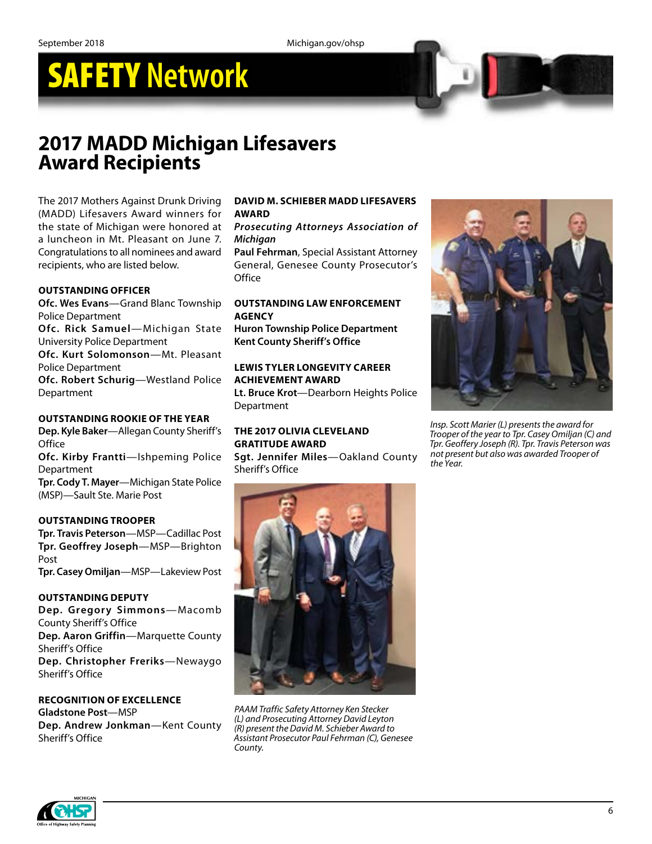## SAFETY **Network**

## **2017 MADD Michigan Lifesavers Award Recipients**

The 2017 Mothers Against Drunk Driving (MADD) Lifesavers Award winners for the state of Michigan were honored at a luncheon in Mt. Pleasant on June 7. Congratulations to all nominees and award recipients, who are listed below.

#### **OUTSTANDING OFFICER**

**Ofc. Wes Evans**—Grand Blanc Township Police Department

**Ofc. Rick Samuel**—Michigan State University Police Department

**Ofc. Kurt Solomonson**—Mt. Pleasant Police Department

**Ofc. Robert Schurig**—Westland Police Department

#### **OUTSTANDING ROOKIE OF THE YEAR**

**Dep. Kyle Baker**—Allegan County Sheriff's **Office** 

**Ofc. Kirby Frantti**—Ishpeming Police Department

**Tpr. Cody T. Mayer**—Michigan State Police (MSP)—Sault Ste. Marie Post

#### **OUTSTANDING TROOPER**

**Tpr. Travis Peterson**—MSP—Cadillac Post **Tpr. Geoffrey Joseph**—MSP—Brighton Post **Tpr. Casey Omiljan**—MSP—Lakeview Post

#### **OUTSTANDING DEPUTY**

**Dep. Gregory Simmons**—Macomb County Sheriff's Office **Dep. Aaron Griffin**—Marquette County Sheriff's Office **Dep. Christopher Freriks**—Newaygo Sheriff's Office

### **RECOGNITION OF EXCELLENCE**

**Gladstone Post**—MSP **Dep. Andrew Jonkman**—Kent County Sheriff's Office

#### **DAVID M. SCHIEBER MADD LIFESAVERS AWARD**

#### *Prosecuting Attorneys Association of Michigan*

**Paul Fehrman**, Special Assistant Attorney General, Genesee County Prosecutor's **Office** 

#### **OUTSTANDING LAW ENFORCEMENT AGENCY**

**Huron Township Police Department Kent County Sheriff's Office**

#### **LEWIS TYLER LONGEVITY CAREER ACHIEVEMENT AWARD**

**Lt. Bruce Krot**—Dearborn Heights Police **Department** 

#### **THE 2017 OLIVIA CLEVELAND GRATITUDE AWARD**

**Sgt. Jennifer Miles**—Oakland County Sheriff's Office



*Insp. Scott Marier (L) presents the award for Trooper of the year to Tpr. Casey Omiljan (C) and Tpr. Geoffery Joseph (R). Tpr. Travis Peterson was not present but also was awarded Trooper of the Year.*



*PAAM Traffic Safety Attorney Ken Stecker (L) and Prosecuting Attorney David Leyton (R) present the David M. Schieber Award to Assistant Prosecutor Paul Fehrman (C), Genesee County.*

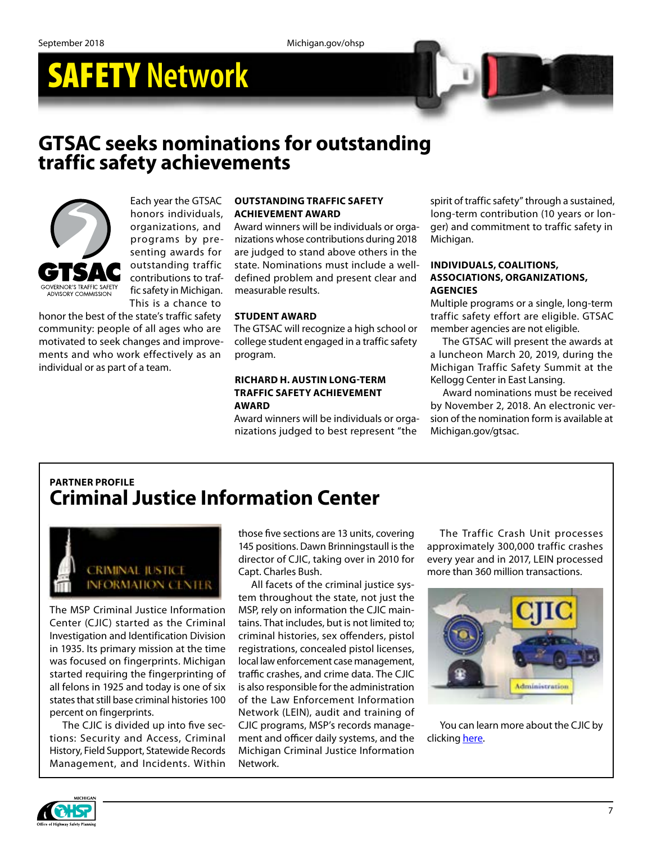# SAFETY **Network**

### **GTSAC seeks nominations for outstanding traffic safety achievements**



Each year the GTSAC honors individuals, organizations, and programs by presenting awards for outstanding traffic contributions to traffic safety in Michigan. This is a chance to

honor the best of the state's traffic safety community: people of all ages who are motivated to seek changes and improvements and who work effectively as an individual or as part of a team.

#### **OUTSTANDING TRAFFIC SAFETY ACHIEVEMENT AWARD**

Award winners will be individuals or organizations whose contributions during 2018 are judged to stand above others in the state. Nominations must include a welldefined problem and present clear and measurable results.

#### **STUDENT AWARD**

The GTSAC will recognize a high school or college student engaged in a traffic safety program.

#### **RICHARD H. AUSTIN LONG-TERM TRAFFIC SAFETY ACHIEVEMENT AWARD**

Award winners will be individuals or organizations judged to best represent "the

spirit of traffic safety" through a sustained, long-term contribution (10 years or longer) and commitment to traffic safety in Michigan.

#### **INDIVIDUALS, COALITIONS, ASSOCIATIONS, ORGANIZATIONS, AGENCIES**

Multiple programs or a single, long-term traffic safety effort are eligible. GTSAC member agencies are not eligible.

The GTSAC will present the awards at a luncheon March 20, 2019, during the Michigan Traffic Safety Summit at the Kellogg Center in East Lansing.

Award nominations must be received by November 2, 2018. An electronic version of the nomination form is available at Michigan.gov/gtsac.

### **PARTNER PROFILE Criminal Justice Information Center**



The MSP Criminal Justice Information Center (CJIC) started as the Criminal Investigation and Identification Division in 1935. Its primary mission at the time was focused on fingerprints. Michigan started requiring the fingerprinting of all felons in 1925 and today is one of six states that still base criminal histories 100 percent on fingerprints.

The CJIC is divided up into five sections: Security and Access, Criminal History, Field Support, Statewide Records Management, and Incidents. Within those five sections are 13 units, covering 145 positions. Dawn Brinningstaull is the director of CJIC, taking over in 2010 for Capt. Charles Bush.

All facets of the criminal justice system throughout the state, not just the MSP, rely on information the CJIC maintains. That includes, but is not limited to; criminal histories, sex offenders, pistol registrations, concealed pistol licenses, local law enforcement case management, traffic crashes, and crime data. The CJIC is also responsible for the administration of the Law Enforcement Information Network (LEIN), audit and training of CJIC programs, MSP's records management and officer daily systems, and the Michigan Criminal Justice Information Network.

The Traffic Crash Unit processes approximately 300,000 traffic crashes every year and in 2017, LEIN processed more than 360 million transactions.



You can learn more about the CJIC by clicking [here](https://www.michigan.gov/msp/0,4643,7-123-72297_24055---,00.html).